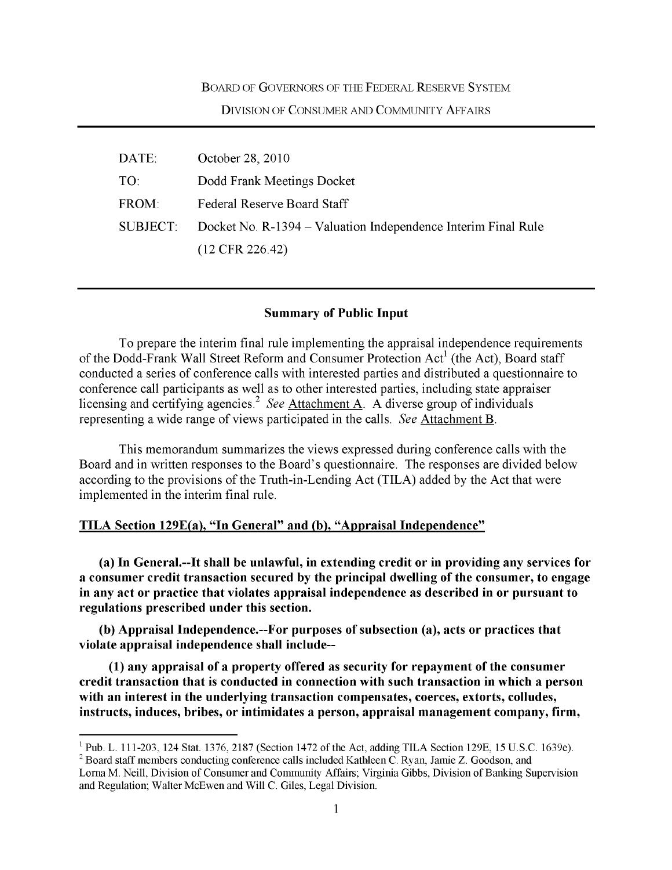#### BOARD OF GOVERNORS OF THE FEDERAL RESERVE SYSTEM

### DIVISION OF CONSUMER AND COMMUNITY AFFAIRS

| DATE:           | October 28, 2010                                              |
|-----------------|---------------------------------------------------------------|
| TO:             | Dodd Frank Meetings Docket                                    |
| FROM:           | Federal Reserve Board Staff                                   |
| <b>SUBJECT:</b> | Docket No. R-1394 – Valuation Independence Interim Final Rule |
|                 | $(12$ CFR 226.42)                                             |

### **Summary of Public Input**

To prepare the interim final rule implementing the appraisal independence requirements of the Dodd-Frank Wall Street Reform and Consumer Protection Act<sup>1</sup> (the Act), Board staff conducted a series of conference calls with interested parties and distributed a questionnaire to conference call participants as well as to other interested parties, including state appraiser licensing and certifying agencies.<sup>2</sup> See Attachment A. A diverse group of individuals representing a wide range of views participated in the calls. *See* Attachment B.

This memorandum summarizes the views expressed during conference calls with the Board and in written responses to the Board's questionnaire. The responses are divided below according to the provisions of the Truth-in-Lending Act (TILA) added by the Act that were implemented in the interim final rule.

### **TILA Section 129E(a), "In General" and (b), "Appraisal Independence"**

**(a) In General.--It shall be unlawful, in extending credit or in providing any services for a consumer credit transaction secured by the principal dwelling of the consumer, to engage in any act or practice that violates appraisal independence as described in or pursuant to regulations prescribed under this section.** 

**(b) Appraisal Independence.--For purposes of subsection (a), acts or practices that violate appraisal independence shall include--**

**(1) any appraisal of a property offered as security for repayment of the consumer credit transaction that is conducted in connection with such transaction in which a person with an interest in the underlying transaction compensates, coerces, extorts, colludes, instructs, induces, bribes, or intimidates a person, appraisal management company, firm,** 

L. 111-203, 124 Stat. 1376, 2187 (Section 1472 of the Act, adding TILA Section 129E, 15 U.S.C. 1639e).

d staff members conducting conference calls included Kathleen C. Ryan, Jamie Z. Goodson, and Lorna M. Neill, Division of Consumer and Community Affairs; Virginia Gibbs, Division of Banking Supervision and Regulation; Walter McEwen and Will C. Giles, Legal Division.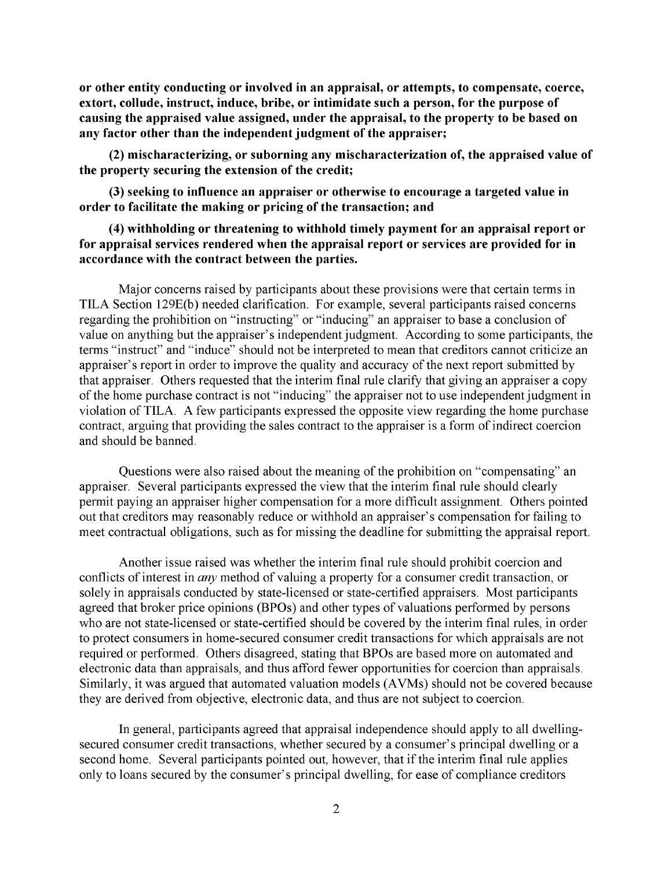**or other entity conducting or involved in an appraisal, or attempts, to compensate, coerce, extort, collude, instruct, induce, bribe, or intimidate such a person, for the purpose of causing the appraised value assigned, under the appraisal, to the property to be based on any factor other than the independent judgment of the appraiser;** 

**(2) mischaracterizing, or suborning any mischaracterization of, the appraised value of the property securing the extension of the credit;** 

**(3) seeking to influence an appraiser or otherwise to encourage a targeted value in order to facilitate the making or pricing of the transaction; and** 

## **(4) withholding or threatening to withhold timely payment for an appraisal report or for appraisal services rendered when the appraisal report or services are provided for in accordance with the contract between the parties.**

Major concerns raised by participants about these provisions were that certain terms in TILA Section 129E(b) needed clarification. For example, several participants raised concerns regarding the prohibition on "instructing" or "inducing" an appraiser to base a conclusion of value on anything but the appraiser's independent judgment. According to some participants, the terms "instruct" and "induce" should not be interpreted to mean that creditors cannot criticize an appraiser's report in order to improve the quality and accuracy of the next report submitted by that appraiser. Others requested that the interim final rule clarify that giving an appraiser a copy of the home purchase contract is not "inducing" the appraiser not to use independent judgment in violation of TILA. A few participants expressed the opposite view regarding the home purchase contract, arguing that providing the sales contract to the appraiser is a form of indirect coercion and should be banned.

Questions were also raised about the meaning of the prohibition on "compensating" an appraiser. Several participants expressed the view that the interim final rule should clearly permit paying an appraiser higher compensation for a more difficult assignment. Others pointed out that creditors may reasonably reduce or withhold an appraiser's compensation for failing to meet contractual obligations, such as for missing the deadline for submitting the appraisal report.

Another issue raised was whether the interim final rule should prohibit coercion and conflicts of interest in *any* method of valuing a property for a consumer credit transaction, or solely in appraisals conducted by state-licensed or state-certified appraisers. Most participants agreed that broker price opinions (BPOs) and other types of valuations performed by persons who are not state-licensed or state-certified should be covered by the interim final rules, in order to protect consumers in home-secured consumer credit transactions for which appraisals are not required or performed. Others disagreed, stating that BPOs are based more on automated and electronic data than appraisals, and thus afford fewer opportunities for coercion than appraisals. Similarly, it was argued that automated valuation models (AVMs) should not be covered because they are derived from objective, electronic data, and thus are not subject to coercion.

In general, participants agreed that appraisal independence should apply to all dwellingsecured consumer credit transactions, whether secured by a consumer's principal dwelling or a second home. Several participants pointed out, however, that if the interim final rule applies only to loans secured by the consumer's principal dwelling, for ease of compliance creditors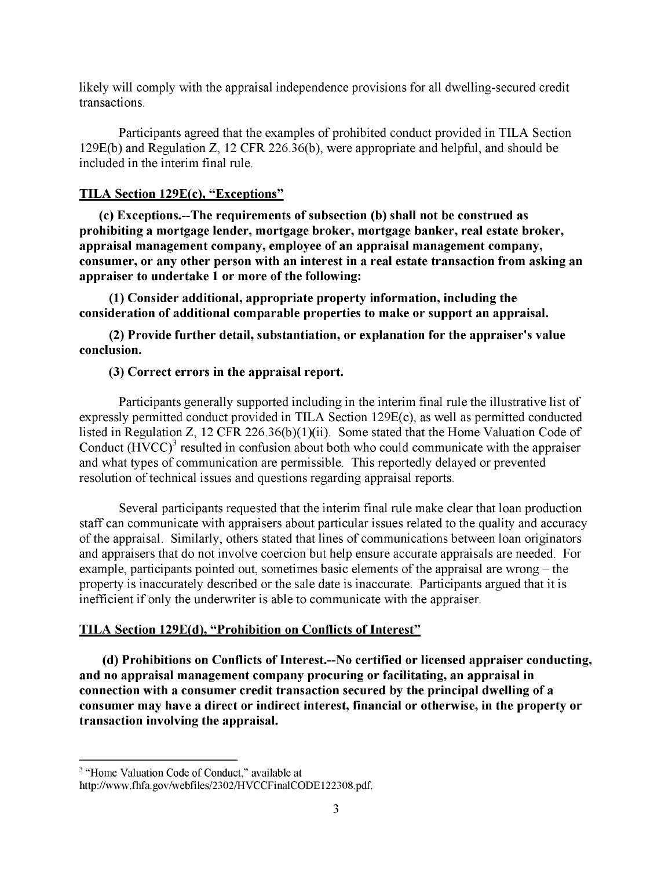likely will comply with the appraisal independence provisions for all dwelling-secured credit transactions.

Participants agreed that the examples of prohibited conduct provided in TILA Section 129E(b) and Regulation Z, 12 CFR 226.36(b), were appropriate and helpful, and should be included in the interim final rule.

# **TILA Section 129E(c), "Exceptions"**

**(c) Exceptions.--The requirements of subsection (b) shall not be construed as prohibiting a mortgage lender, mortgage broker, mortgage banker, real estate broker, appraisal management company, employee of an appraisal management company, consumer, or any other person with an interest in a real estate transaction from asking an appraiser to undertake 1 or more of the following:** 

**(1) Consider additional, appropriate property information, including the consideration of additional comparable properties to make or support an appraisal.** 

**(2) Provide further detail, substantiation, or explanation for the appraiser's value conclusion.** 

# **(3) Correct errors in the appraisal report.**

Participants generally supported including in the interim final rule the illustrative list of expressly permitted conduct provided in TILA Section 129E(c), as well as permitted conducted listed in Regulation Z, 12 CFR 226.36(b)(1)(ii). Some stated that the Home Valuation Code of Conduct (HVCC)<sup>3</sup> resulted in confusion about both who could communicate with the appraiser and what types of communication are permissible. This reportedly delayed or prevented resolution of technical issues and questions regarding appraisal reports.

Several participants requested that the interim final rule make clear that loan production staff can communicate with appraisers about particular issues related to the quality and accuracy of the appraisal. Similarly, others stated that lines of communications between loan originators and appraisers that do not involve coercion but help ensure accurate appraisals are needed. For example, participants pointed out, sometimes basic elements of the appraisal are wrong – the property is inaccurately described or the sale date is inaccurate. Participants argued that it is inefficient if only the underwriter is able to communicate with the appraiser.

# **TILA Section 129E(d), "Prohibition on Conflicts of Interest"**

**(d) Prohibitions on Conflicts of Interest.--No certified or licensed appraiser conducting, and no appraisal management company procuring or facilitating, an appraisal in connection with a consumer credit transaction secured by the principal dwelling of a consumer may have a direct or indirect interest, financial or otherwise, in the property or transaction involving the appraisal.** 

<sup>&</sup>lt;sup>3</sup> "Home Valuation Code of Conduct," available at

http://www.fhfa.gov/webfiles/2302/HVCCFinalCODE122308.pdf.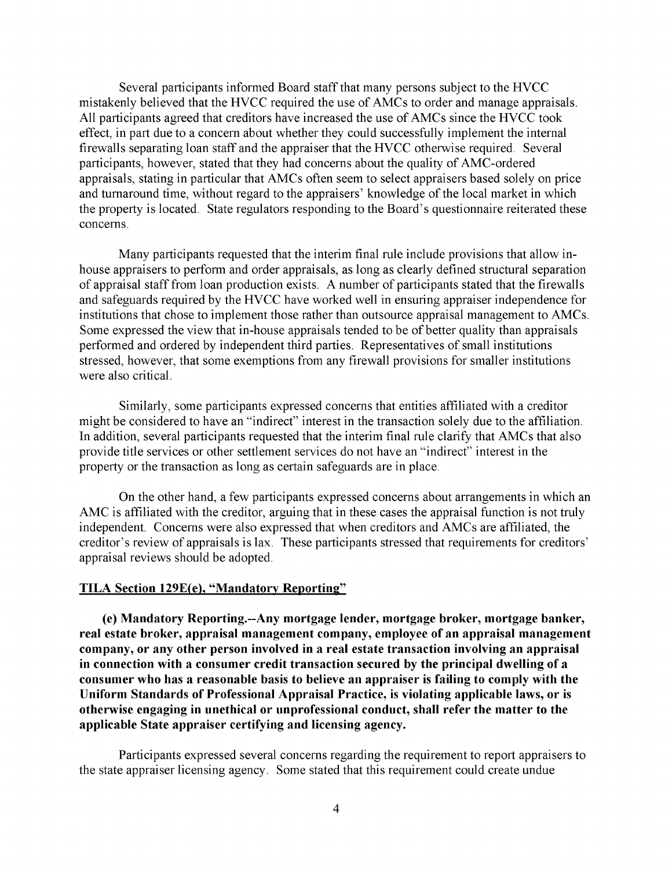Several participants informed Board staff that many persons subject to the HVCC mistakenly believed that the HVCC required the use of AMCs to order and manage appraisals. All participants agreed that creditors have increased the use of AMCs since the HVCC took effect, in part due to a concern about whether they could successfully implement the internal firewalls separating loan staff and the appraiser that the HVCC otherwise required. Several participants, however, stated that they had concerns about the quality of AMC-ordered appraisals, stating in particular that AMCs often seem to select appraisers based solely on price and turnaround time, without regard to the appraisers' knowledge of the local market in which the property is located. State regulators responding to the Board's questionnaire reiterated these concerns.

Many participants requested that the interim final rule include provisions that allow inhouse appraisers to perform and order appraisals, as long as clearly defined structural separation of appraisal staff from loan production exists. A number of participants stated that the firewalls and safeguards required by the HVCC have worked well in ensuring appraiser independence for institutions that chose to implement those rather than outsource appraisal management to AMCs. Some expressed the view that in-house appraisals tended to be of better quality than appraisals performed and ordered by independent third parties. Representatives of small institutions stressed, however, that some exemptions from any firewall provisions for smaller institutions were also critical.

Similarly, some participants expressed concerns that entities affiliated with a creditor might be considered to have an "indirect" interest in the transaction solely due to the affiliation. In addition, several participants requested that the interim final rule clarify that AMCs that also provide title services or other settlement services do not have an "indirect" interest in the property or the transaction as long as certain safeguards are in place.

On the other hand, a few participants expressed concerns about arrangements in which an AMC is affiliated with the creditor, arguing that in these cases the appraisal function is not truly independent. Concerns were also expressed that when creditors and AMCs are affiliated, the creditor's review of appraisals is lax. These participants stressed that requirements for creditors' appraisal reviews should be adopted.

### **TILA Section 129E(e), "Mandatory Reporting"**

**(e) Mandatory Reporting.--Any mortgage lender, mortgage broker, mortgage banker, real estate broker, appraisal management company, employee of an appraisal management company, or any other person involved in a real estate transaction involving an appraisal in connection with a consumer credit transaction secured by the principal dwelling of a consumer who has a reasonable basis to believe an appraiser is failing to comply with the Uniform Standards of Professional Appraisal Practice, is violating applicable laws, or is otherwise engaging in unethical or unprofessional conduct, shall refer the matter to the applicable State appraiser certifying and licensing agency.** 

Participants expressed several concerns regarding the requirement to report appraisers to the state appraiser licensing agency. Some stated that this requirement could create undue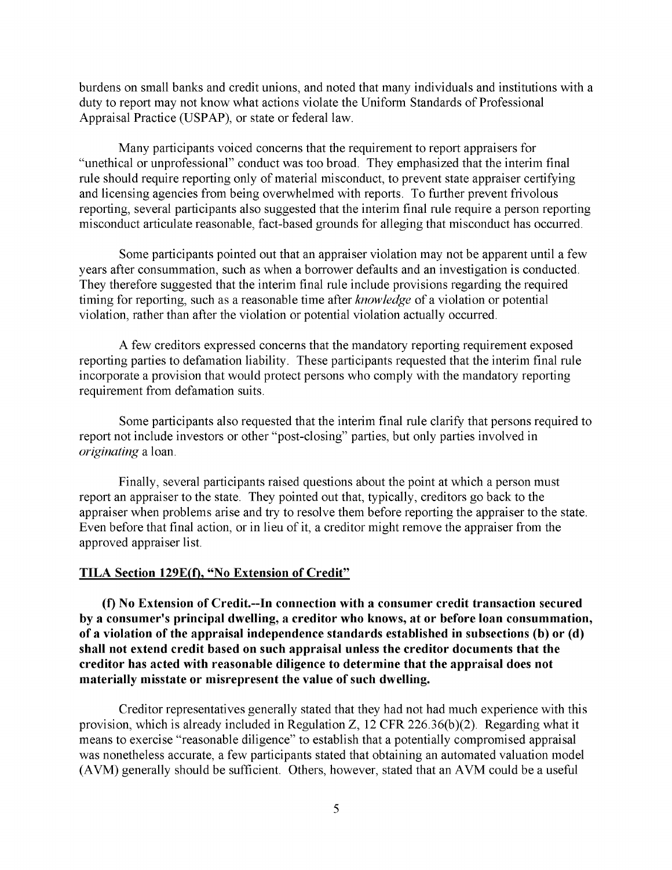burdens on small banks and credit unions, and noted that many individuals and institutions with a duty to report may not know what actions violate the Uniform Standards of Professional Appraisal Practice (USPAP), or state or federal law.

Many participants voiced concerns that the requirement to report appraisers for "unethical or unprofessional" conduct was too broad. They emphasized that the interim final rule should require reporting only of material misconduct, to prevent state appraiser certifying and licensing agencies from being overwhelmed with reports. To further prevent frivolous reporting, several participants also suggested that the interim final rule require a person reporting misconduct articulate reasonable, fact-based grounds for alleging that misconduct has occurred.

Some participants pointed out that an appraiser violation may not be apparent until a few years after consummation, such as when a borrower defaults and an investigation is conducted. They therefore suggested that the interim final rule include provisions regarding the required timing for reporting, such as a reasonable time after *knowledge* of a violation or potential violation, rather than after the violation or potential violation actually occurred.

A few creditors expressed concerns that the mandatory reporting requirement exposed reporting parties to defamation liability. These participants requested that the interim final rule incorporate a provision that would protect persons who comply with the mandatory reporting requirement from defamation suits.

Some participants also requested that the interim final rule clarify that persons required to report not include investors or other "post-closing" parties, but only parties involved in *originating* a loan.

Finally, several participants raised questions about the point at which a person must report an appraiser to the state. They pointed out that, typically, creditors go back to the appraiser when problems arise and try to resolve them before reporting the appraiser to the state. Even before that final action, or in lieu of it, a creditor might remove the appraiser from the approved appraiser list.

#### **TILA Section 129E(f), "No Extension of Credit"**

**(f) No Extension of Credit.--In connection with a consumer credit transaction secured by a consumer's principal dwelling, a creditor who knows, at or before loan consummation, of a violation of the appraisal independence standards established in subsections (b) or (d) shall not extend credit based on such appraisal unless the creditor documents that the creditor has acted with reasonable diligence to determine that the appraisal does not materially misstate or misrepresent the value of such dwelling.** 

Creditor representatives generally stated that they had not had much experience with this provision, which is already included in Regulation Z, 12 CFR 226.36(b)(2). Regarding what it means to exercise "reasonable diligence" to establish that a potentially compromised appraisal was nonetheless accurate, a few participants stated that obtaining an automated valuation model (AVM) generally should be sufficient. Others, however, stated that an AVM could be a useful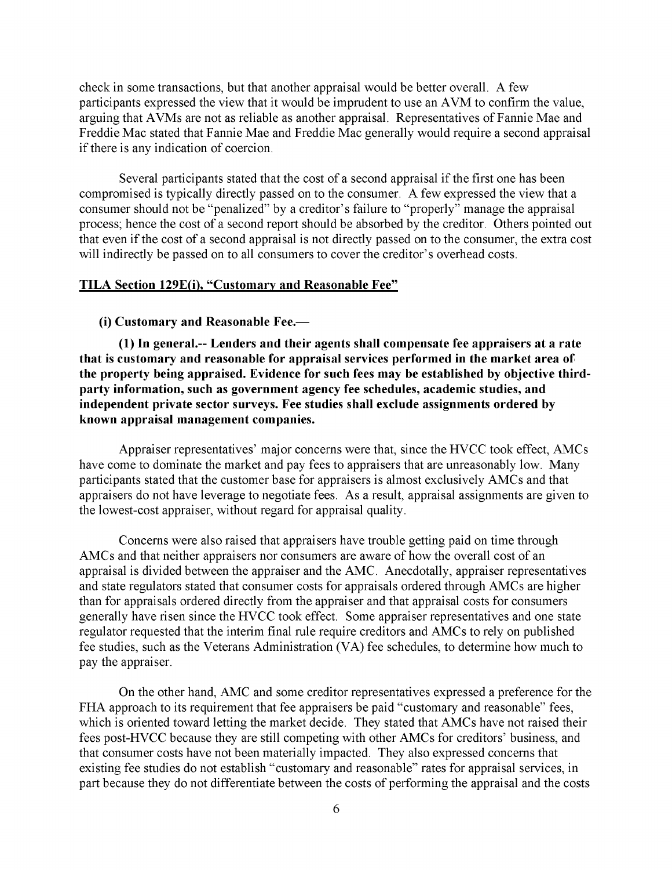check in some transactions, but that another appraisal would be better overall. A few participants expressed the view that it would be imprudent to use an AVM to confirm the value, arguing that AVMs are not as reliable as another appraisal. Representatives of Fannie Mae and Freddie Mac stated that Fannie Mae and Freddie Mac generally would require a second appraisal if there is any indication of coercion.

Several participants stated that the cost of a second appraisal if the first one has been compromised is typically directly passed on to the consumer. A few expressed the view that a consumer should not be "penalized" by a creditor's failure to "properly" manage the appraisal process; hence the cost of a second report should be absorbed by the creditor. Others pointed out that even if the cost of a second appraisal is not directly passed on to the consumer, the extra cost will indirectly be passed on to all consumers to cover the creditor's overhead costs.

### **TILA Section 129E(i), "Customary and Reasonable Fee"**

#### **(i) Customary and Reasonable Fee.—**

**(1) In general.-- Lenders and their agents shall compensate fee appraisers at a rate that is customary and reasonable for appraisal services performed in the market area of the property being appraised. Evidence for such fees may be established by objective thirdparty information, such as government agency fee schedules, academic studies, and independent private sector surveys. Fee studies shall exclude assignments ordered by known appraisal management companies.** 

Appraiser representatives' major concerns were that, since the HVCC took effect, AMCs have come to dominate the market and pay fees to appraisers that are unreasonably low. Many participants stated that the customer base for appraisers is almost exclusively AMCs and that appraisers do not have leverage to negotiate fees. As a result, appraisal assignments are given to the lowest-cost appraiser, without regard for appraisal quality.

Concerns were also raised that appraisers have trouble getting paid on time through AMCs and that neither appraisers nor consumers are aware of how the overall cost of an appraisal is divided between the appraiser and the AMC. Anecdotally, appraiser representatives and state regulators stated that consumer costs for appraisals ordered through AMCs are higher than for appraisals ordered directly from the appraiser and that appraisal costs for consumers generally have risen since the HVCC took effect. Some appraiser representatives and one state regulator requested that the interim final rule require creditors and AMCs to rely on published fee studies, such as the Veterans Administration (VA) fee schedules, to determine how much to pay the appraiser.

On the other hand, AMC and some creditor representatives expressed a preference for the FHA approach to its requirement that fee appraisers be paid "customary and reasonable" fees, which is oriented toward letting the market decide. They stated that AMCs have not raised their fees post-HVCC because they are still competing with other AMCs for creditors' business, and that consumer costs have not been materially impacted. They also expressed concerns that existing fee studies do not establish "customary and reasonable" rates for appraisal services, in part because they do not differentiate between the costs of performing the appraisal and the costs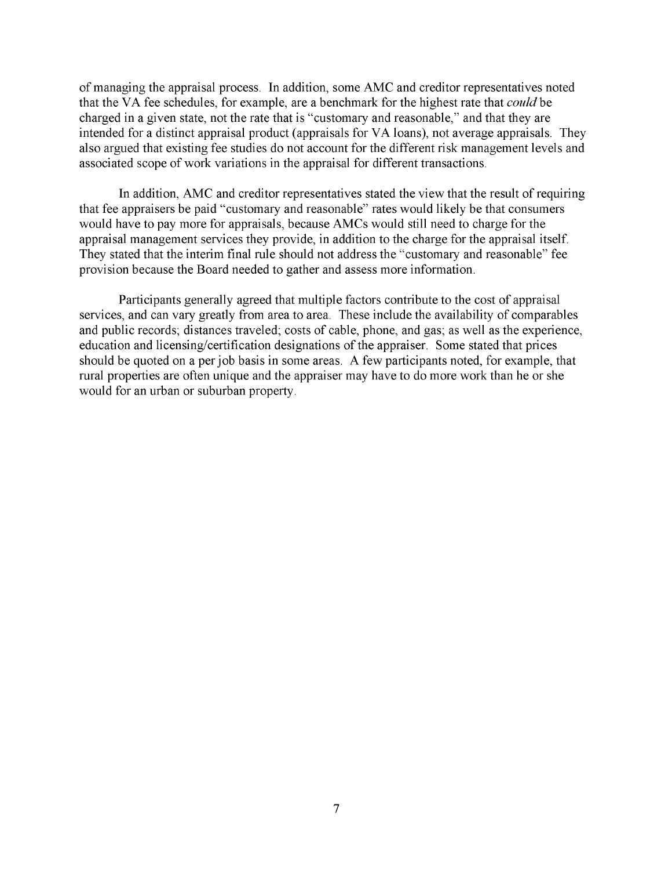of managing the appraisal process. In addition, some AMC and creditor representatives noted that the VA fee schedules, for example, are a benchmark for the highest rate that *could* be charged in a given state, not the rate that is "customary and reasonable," and that they are intended for a distinct appraisal product (appraisals for VA loans), not average appraisals. They also argued that existing fee studies do not account for the different risk management levels and associated scope of work variations in the appraisal for different transactions.

In addition, AMC and creditor representatives stated the view that the result of requiring that fee appraisers be paid "customary and reasonable" rates would likely be that consumers would have to pay more for appraisals, because AMCs would still need to charge for the appraisal management services they provide, in addition to the charge for the appraisal itself. They stated that the interim final rule should not address the "customary and reasonable" fee provision because the Board needed to gather and assess more information.

Participants generally agreed that multiple factors contribute to the cost of appraisal services, and can vary greatly from area to area. These include the availability of comparables and public records; distances traveled; costs of cable, phone, and gas; as well as the experience, education and licensing/certification designations of the appraiser. Some stated that prices should be quoted on a per job basis in some areas. A few participants noted, for example, that rural properties are often unique and the appraiser may have to do more work than he or she would for an urban or suburban property.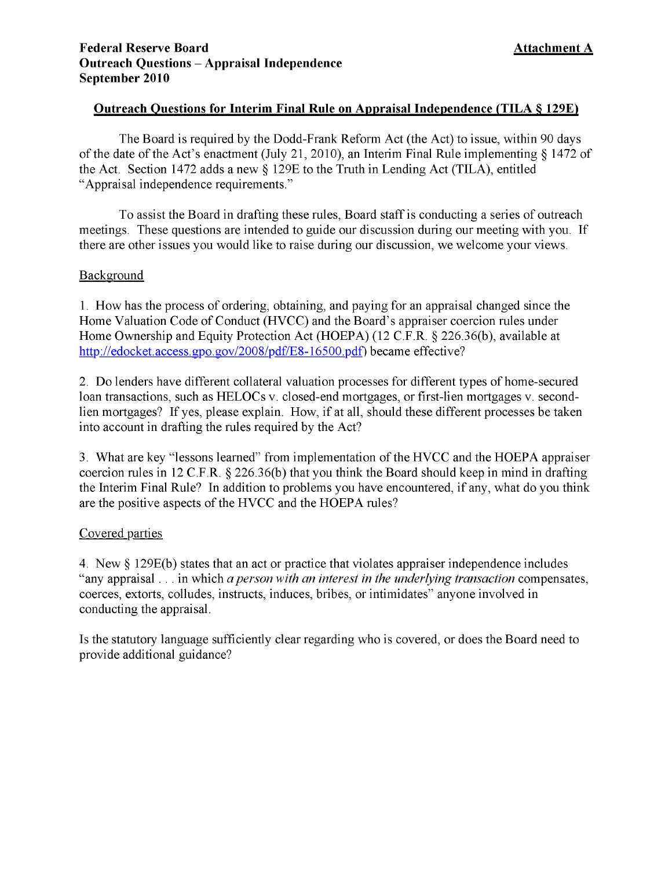## **Outreach Questions for Interim Final Rule on Appraisal Independence (TILA § 129E)**

The Board is required by the Dodd-Frank Reform Act (the Act) to issue, within 90 days of the date of the Act's enactment (July 21, 2010), an Interim Final Rule implementing § 1472 of the Act. Section 1472 adds a new § 129E to the Truth in Lending Act (TILA), entitled "Appraisal independence requirements."

To assist the Board in drafting these rules, Board staff is conducting a series of outreach meetings. These questions are intended to guide our discussion during our meeting with you. If there are other issues you would like to raise during our discussion, we welcome your views.

## Background

1. How has the process of ordering, obtaining, and paying for an appraisal changed since the Home Valuation Code of Conduct (HVCC) and the Board's appraiser coercion rules under Home Ownership and Equity Protection Act (HOEPA) (12 C.F.R. § 226.36(b), available at http://edocket.access.gpo.gov/2008/pdf/E8-16500.pdf) became effective?

2. Do lenders have different collateral valuation processes for different types of home-secured loan transactions, such as HELOCs v. closed-end mortgages, or first-lien mortgages v. secondlien mortgages? If yes, please explain. How, if at all, should these different processes be taken into account in drafting the rules required by the Act?

3. What are key "lessons learned" from implementation of the HVCC and the HOEPA appraiser coercion rules in 12 C.F.R. § 226.36(b) that you think the Board should keep in mind in drafting the Interim Final Rule? In addition to problems you have encountered, if any, what do you think are the positive aspects of the HVCC and the HOEPA rules?

## Covered parties

4. New § 129E(b) states that an act or practice that violates appraiser independence includes "any appraisal . . . in which *a person with an interest in the underlying transaction* compensates, coerces, extorts, colludes, instructs, induces, bribes, or intimidates" anyone involved in conducting the appraisal.

Is the statutory language sufficiently clear regarding who is covered, or does the Board need to provide additional guidance?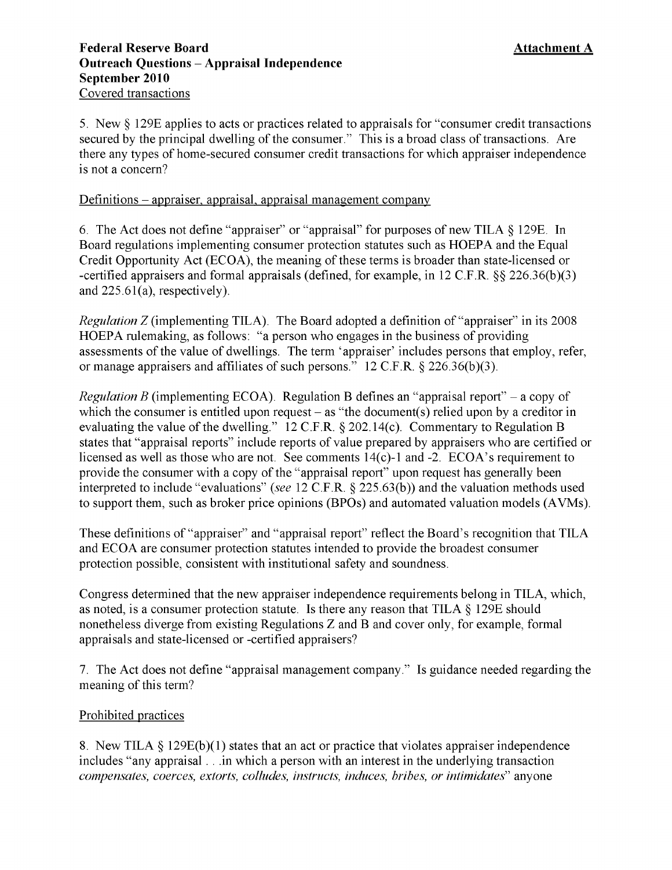5. New § 129E applies to acts or practices related to appraisals for "consumer credit transactions secured by the principal dwelling of the consumer." This is a broad class of transactions. Are there any types of home-secured consumer credit transactions for which appraiser independence is not a concern?

# Definitions - appraiser, appraisal, appraisal management company

6. The Act does not define "appraiser" or "appraisal" for purposes of new TILA § 129E. In Board regulations implementing consumer protection statutes such as HOEPA and the Equal Credit Opportunity Act (ECOA), the meaning of these terms is broader than state-licensed or -certified appraisers and formal appraisals (defined, for example, in 12 C.F.R. §§ 226.36(b)(3) and 225.61(a), respectively).

*Regulation Z* (implementing TILA). The Board adopted a definition of "appraiser" in its 2008 HOEPA rulemaking, as follows: "a person who engages in the business of providing assessments of the value of dwellings. The term 'appraiser' includes persons that employ, refer, or manage appraisers and affiliates of such persons." 12 C.F.R. § 226.36(b)(3).

*Regulation B* (implementing ECOA). Regulation B defines an "appraisal report" – a copy of which the consumer is entitled upon request  $-$  as "the document(s) relied upon by a creditor in evaluating the value of the dwelling." 12 C.F.R. § 202.14(c). Commentary to Regulation B states that "appraisal reports" include reports of value prepared by appraisers who are certified or licensed as well as those who are not. See comments 14(c)-1 and -2. ECOA's requirement to provide the consumer with a copy of the "appraisal report" upon request has generally been interpreted to include "evaluations" (see 12 C.F.R. § 225.63(b)) and the valuation methods used to support them, such as broker price opinions (BPOs) and automated valuation models (AVMs).

These definitions of "appraiser" and "appraisal report" reflect the Board's recognition that TILA and ECOA are consumer protection statutes intended to provide the broadest consumer protection possible, consistent with institutional safety and soundness.

Congress determined that the new appraiser independence requirements belong in TILA, which, as noted, is a consumer protection statute. Is there any reason that TILA § 129E should nonetheless diverge from existing Regulations Z and B and cover only, for example, formal appraisals and state-licensed or -certified appraisers?

7. The Act does not define "appraisal management company." Is guidance needed regarding the meaning of this term?

# Prohibited practices

8. New TILA § 129E(b)(1) states that an act or practice that violates appraiser independence includes "any appraisal . . .in which a person with an interest in the underlying transaction *compensates, coerces, extorts, colludes, instructs, induces, bribes, or intimidates*" anyone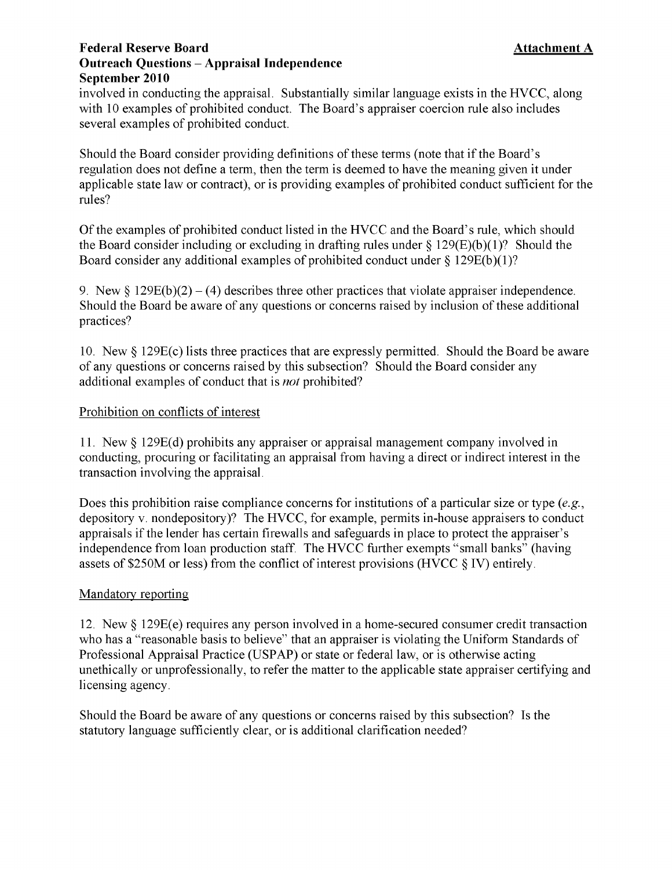# **Federal Reserve Board Outreach Ouestions - Appraisal Independence** September 2010

involved in conducting the appraisal. Substantially similar language exists in the HVCC, along with 10 examples of prohibited conduct. The Board's appraiser coercion rule also includes several examples of prohibited conduct.

Should the Board consider providing definitions of these terms (note that if the Board's regulation does not define a term, then the term is deemed to have the meaning given it under applicable state law or contract), or is providing examples of prohibited conduct sufficient for the rules?

Of the examples of prohibited conduct listed in the HVCC and the Board's rule, which should the Board consider including or excluding in drafting rules under  $\S 129(E)(b)(1)$ ? Should the Board consider any additional examples of prohibited conduct under  $\S 129E(b)(1)$ ?

9. New  $\S 129E(b)(2) - (4)$  describes three other practices that violate appraiser independence. Should the Board be aware of any questions or concerns raised by inclusion of these additional practices?

10. New § 129E(c) lists three practices that are expressly permitted. Should the Board be aware of any questions or concerns raised by this subsection? Should the Board consider any additional examples of conduct that is *not* prohibited?

# Prohibition on conflicts of interest

11. New § 129E(d) prohibits any appraiser or appraisal management company involved in conducting, procuring or facilitating an appraisal from having a direct or indirect interest in the transaction involving the appraisal.

Does this prohibition raise compliance concerns for institutions of a particular size or type *(e.g.,*  depository v. nondepository)? The HVCC, for example, permits in-house appraisers to conduct appraisals if the lender has certain firewalls and safeguards in place to protect the appraiser's independence from loan production staff. The HVCC further exempts "small banks" (having assets of \$250M or less) from the conflict of interest provisions (HVCC § IV) entirely.

# Mandatory reporting

12. New § 129E(e) requires any person involved in a home-secured consumer credit transaction who has a "reasonable basis to believe" that an appraiser is violating the Uniform Standards of Professional Appraisal Practice (USPAP) or state or federal law, or is otherwise acting unethically or unprofessionally, to refer the matter to the applicable state appraiser certifying and licensing agency.

Should the Board be aware of any questions or concerns raised by this subsection? Is the statutory language sufficiently clear, or is additional clarification needed?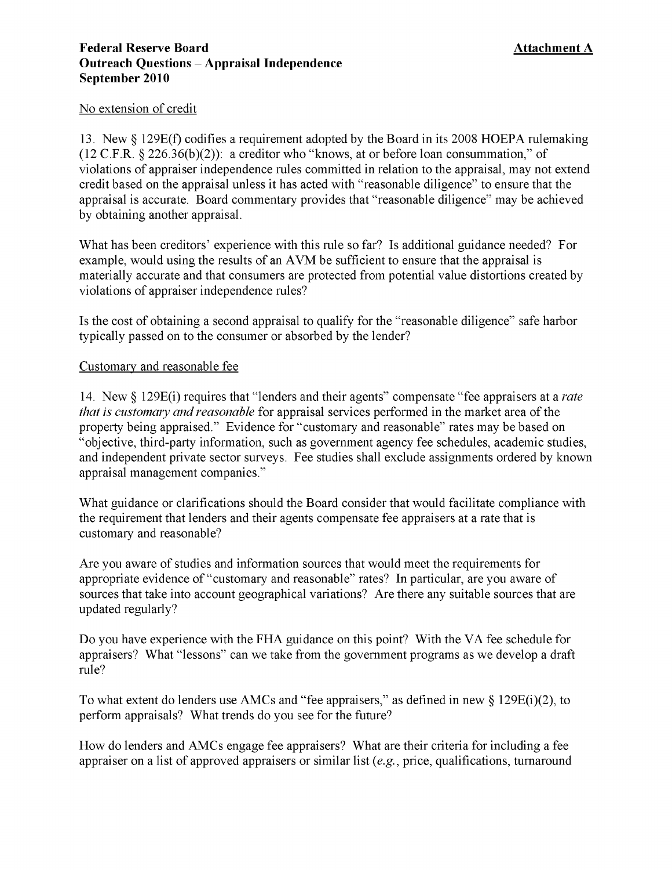## **Federal Reserve Board Outreach Ouestions - Appraisal Independence** September 2010

# No extension of credit

13. New § 129E(f) codifies a requirement adopted by the Board in its 2008 HOEPA rulemaking (12 C.F.R. § 226.36(b)(2)): a creditor who "knows, at or before loan consummation," of violations of appraiser independence rules committed in relation to the appraisal, may not extend credit based on the appraisal unless it has acted with "reasonable diligence" to ensure that the appraisal is accurate. Board commentary provides that "reasonable diligence" may be achieved by obtaining another appraisal.

What has been creditors' experience with this rule so far? Is additional guidance needed? For example, would using the results of an AVM be sufficient to ensure that the appraisal is materially accurate and that consumers are protected from potential value distortions created by violations of appraiser independence rules?

Is the cost of obtaining a second appraisal to qualify for the "reasonable diligence" safe harbor typically passed on to the consumer or absorbed by the lender?

# Customary and reasonable fee

14. New § 129E(i) requires that "lenders and their agents" compensate "fee appraisers at a *rate that is customary and reasonable* for appraisal services performed in the market area of the property being appraised." Evidence for "customary and reasonable" rates may be based on "objective, third-party information, such as government agency fee schedules, academic studies, and independent private sector surveys. Fee studies shall exclude assignments ordered by known appraisal management companies."

What guidance or clarifications should the Board consider that would facilitate compliance with the requirement that lenders and their agents compensate fee appraisers at a rate that is customary and reasonable?

Are you aware of studies and information sources that would meet the requirements for appropriate evidence of "customary and reasonable" rates? In particular, are you aware of sources that take into account geographical variations? Are there any suitable sources that are updated regularly?

Do you have experience with the FHA guidance on this point? With the VA fee schedule for appraisers? What "lessons" can we take from the government programs as we develop a draft rule?

To what extent do lenders use AMCs and "fee appraisers," as defined in new  $\S$  129E(i)(2), to perform appraisals? What trends do you see for the future?

How do lenders and AMCs engage fee appraisers? What are their criteria for including a fee appraiser on a list of approved appraisers or similar list (e.g., price, qualifications, turnaround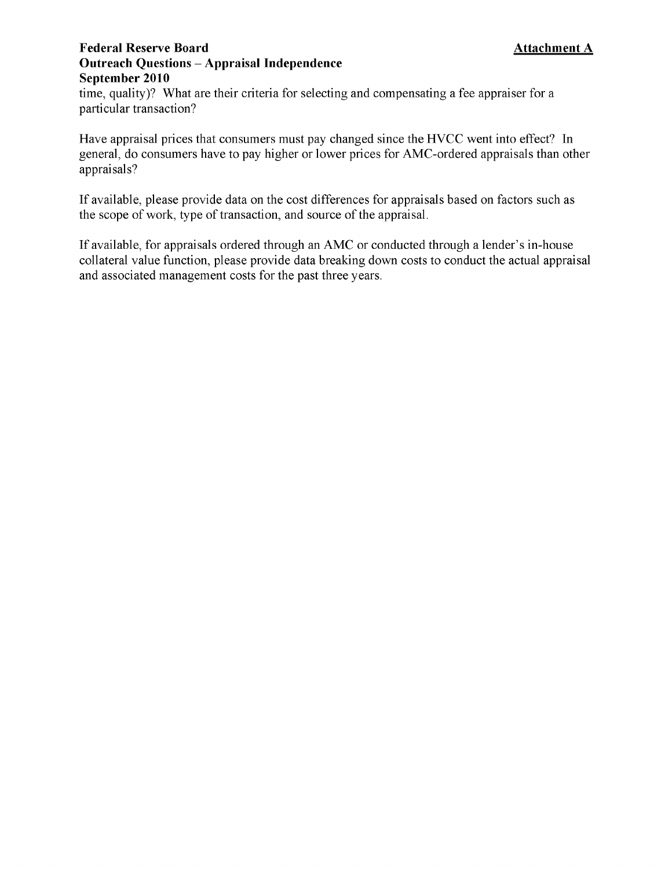# **Federal Reserve Board Outreach Ouestions - Appraisal Independence** September 2010

time, quality)? What are their criteria for selecting and compensating a fee appraiser for a particular transaction?

Have appraisal prices that consumers must pay changed since the HVCC went into effect? In general, do consumers have to pay higher or lower prices for AMC-ordered appraisals than other appraisals?

If available, please provide data on the cost differences for appraisals based on factors such as the scope of work, type of transaction, and source of the appraisal.

If available, for appraisals ordered through an AMC or conducted through a lender's in-house collateral value function, please provide data breaking down costs to conduct the actual appraisal and associated management costs for the past three years.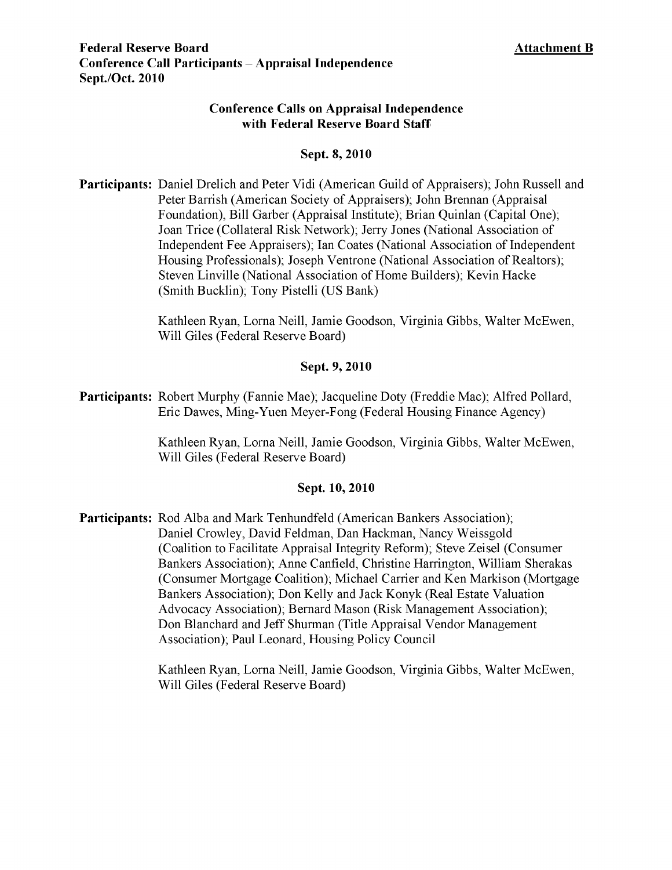# **Conference Calls on Appraisal Independence with Federal Reserve Board Staff**

## **Sept. 8, 2010**

**Participants:** Daniel Drelich and Peter Vidi (American Guild of Appraisers); John Russell and Peter Barrish (American Society of Appraisers); John Brennan (Appraisal Foundation), Bill Garber (Appraisal Institute); Brian Quinlan (Capital One); Joan Trice (Collateral Risk Network); Jerry Jones (National Association of Independent Fee Appraisers); Ian Coates (National Association of Independent Housing Professionals); Joseph Ventrone (National Association of Realtors); Steven Linville (National Association of Home Builders); Kevin Hacke (Smith Bucklin); Tony Pistelli (US Bank)

> Kathleen Ryan, Lorna Neill, Jamie Goodson, Virginia Gibbs, Walter McEwen, Will Giles (Federal Reserve Board)

## **Sept. 9, 2010**

**Participants:** Robert Murphy (Fannie Mae); Jacqueline Doty (Freddie Mac); Alfred Pollard, Eric Dawes, Ming-Yuen Meyer-Fong (Federal Housing Finance Agency)

> Kathleen Ryan, Lorna Neill, Jamie Goodson, Virginia Gibbs, Walter McEwen, Will Giles (Federal Reserve Board)

## **Sept. 10, 2010**

**Participants:** Rod Alba and Mark Tenhundfeld (American Bankers Association); Daniel Crowley, David Feldman, Dan Hackman, Nancy Weissgold (Coalition to Facilitate Appraisal Integrity Reform); Steve Zeisel (Consumer Bankers Association); Anne Canfield, Christine Harrington, William Sherakas (Consumer Mortgage Coalition); Michael Carrier and Ken Markison (Mortgage Bankers Association); Don Kelly and Jack Konyk (Real Estate Valuation Advocacy Association); Bernard Mason (Risk Management Association); Don Blanchard and Jeff Shurman (Title Appraisal Vendor Management Association); Paul Leonard, Housing Policy Council

> Kathleen Ryan, Lorna Neill, Jamie Goodson, Virginia Gibbs, Walter McEwen, Will Giles (Federal Reserve Board)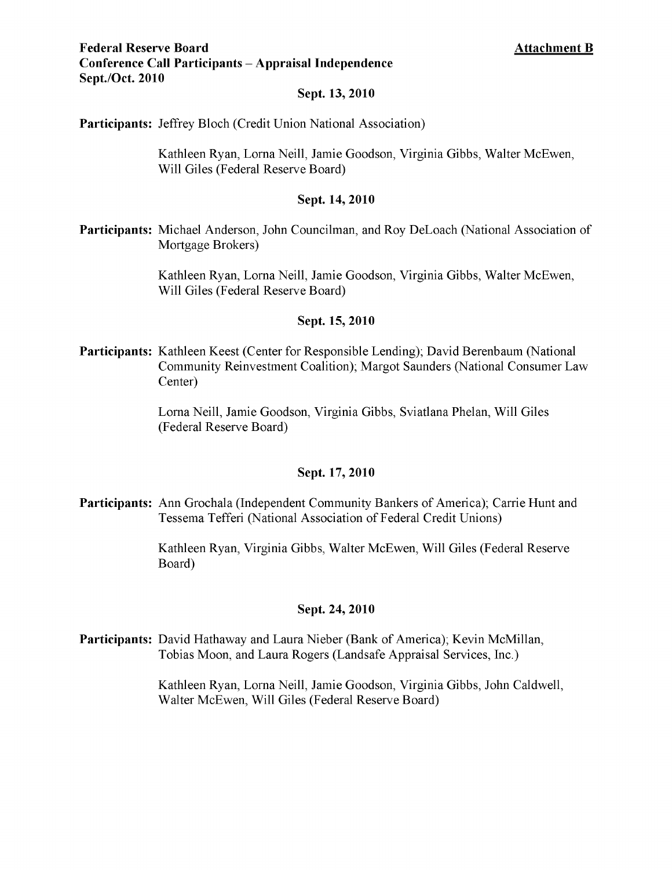# **Federal Reserve Board Conference Call Participants – Appraisal Independence** Sept./Oct. 2010

### **Sept. 13, 2010**

**Participants:** Jeffrey Bloch (Credit Union National Association)

Kathleen Ryan, Lorna Neill, Jamie Goodson, Virginia Gibbs, Walter McEwen, Will Giles (Federal Reserve Board)

### **Sept. 14, 2010**

**Participants:** Michael Anderson, John Councilman, and Roy DeLoach (National Association of Mortgage Brokers)

> Kathleen Ryan, Lorna Neill, Jamie Goodson, Virginia Gibbs, Walter McEwen, Will Giles (Federal Reserve Board)

## **Sept. 15, 2010**

**Participants:** Kathleen Keest (Center for Responsible Lending); David Berenbaum (National Community Reinvestment Coalition); Margot Saunders (National Consumer Law Center)

> Lorna Neill, Jamie Goodson, Virginia Gibbs, Sviatlana Phelan, Will Giles (Federal Reserve Board)

### **Sept. 17, 2010**

**Participants:** Ann Grochala (Independent Community Bankers of America); Carrie Hunt and Tessema Tefferi (National Association of Federal Credit Unions)

> Kathleen Ryan, Virginia Gibbs, Walter McEwen, Will Giles (Federal Reserve Board)

### **Sept. 24, 2010**

**Participants:** David Hathaway and Laura Nieber (Bank of America); Kevin McMillan, Tobias Moon, and Laura Rogers (Landsafe Appraisal Services, Inc.)

> Kathleen Ryan, Lorna Neill, Jamie Goodson, Virginia Gibbs, John Caldwell, Walter McEwen, Will Giles (Federal Reserve Board)